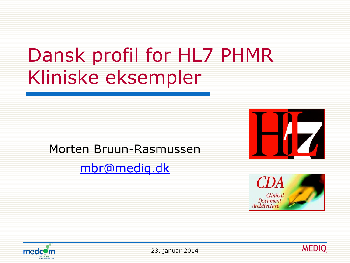# Dansk profil for HL7 PHMR Kliniske eksempler

#### Morten Bruun-Rasmussen

#### [mbr@mediq.dk](mailto:mbr@mediq.dk)







23. januar 2014 **MEDIQ** 

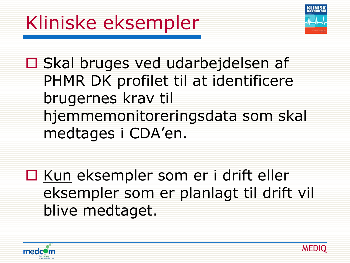

□ Skal bruges ved udarbejdelsen af PHMR DK profilet til at identificere brugernes krav til hjemmemonitoreringsdata som skal medtages i CDA'en.

□ Kun eksempler som er i drift eller eksempler som er planlagt til drift vil blive medtaget.



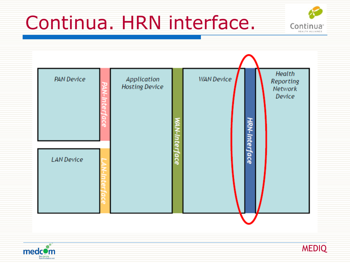### Continua. HRN interface.



| <b>PAN Device</b><br>Ω<br>ω | Application<br><b>Hosting Device</b> |                    | <b>WAN Device</b> | HRN-Interface | Health<br>Reporting<br>Network<br>Device |
|-----------------------------|--------------------------------------|--------------------|-------------------|---------------|------------------------------------------|
| <b>LAN Device</b>           |                                      | <b>rer</b><br>face |                   |               |                                          |
|                             |                                      |                    |                   |               |                                          |



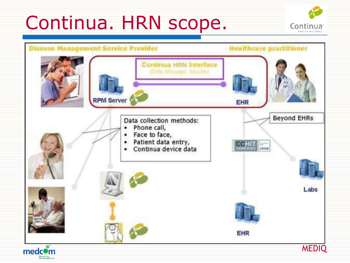### Continua. HRN scope.



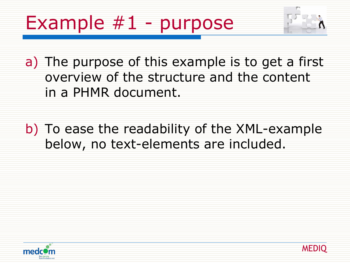# Example #1 - purpose



a) The purpose of this example is to get a first overview of the structure and the content in a PHMR document.

b) To ease the readability of the XML-example below, no text-elements are included.



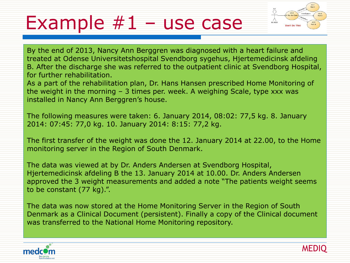#### Example  $#1$  – use case



By the end of 2013, Nancy Ann Berggren was diagnosed with a heart failure and treated at Odense Universitetshospital Svendborg sygehus, Hjertemedicinsk afdeling B. After the discharge she was referred to the outpatient clinic at Svendborg Hospital, for further rehabilitation.

As a part of the rehabilitation plan, Dr. Hans Hansen prescribed Home Monitoring of the weight in the morning – 3 times per. week. A weighing Scale, type xxx was installed in Nancy Ann Berggren's house.

The following measures were taken: 6. January 2014, 08:02: 77,5 kg. 8. January 2014: 07:45: 77,0 kg. 10. January 2014: 8:15: 77,2 kg.

The first transfer of the weight was done the 12. January 2014 at 22.00, to the Home monitoring server in the Region of South Denmark.

The data was viewed at by Dr. Anders Andersen at Svendborg Hospital, Hjertemedicinsk afdeling B the 13. January 2014 at 10.00. Dr. Anders Andersen approved the 3 weight measurements and added a note "The patients weight seems to be constant (77 kg).".

The data was now stored at the Home Monitoring Server in the Region of South Denmark as a Clinical Document (persistent). Finally a copy of the Clinical document was transferred to the National Home Monitoring repository.